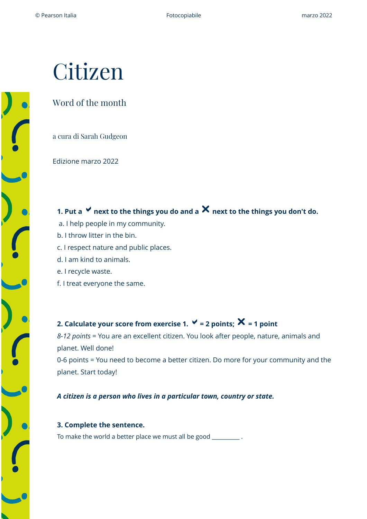# Citizen

#### Word of the month

a cura di Sarah Gudgeon

Edizione marzo 2022

**1. Put a**  $\checkmark$  next to the things you do and a  $\checkmark$  next to the things you don't do.

- a. I help people in my community.
- b. I throw litter in the bin.
- c. I respect nature and public places.
- d. I am kind to animals.
- e. I recycle waste.
- f. I treat everyone the same.

### **2. Calculate your score from exercise 1.**  $\checkmark$  = 2 points;  $\checkmark$  = 1 point

*8-12 points* = You are an excellent citizen. You look after people, nature, animals and planet. Well done!

0-6 points = You need to become a better citizen. Do more for your community and the planet. Start today!

*A citizen is a person who lives in a particular town, country or state.* 

**3. Complete the sentence.** To make the world a better place we must all be good \_\_\_\_\_\_\_\_\_\_\_.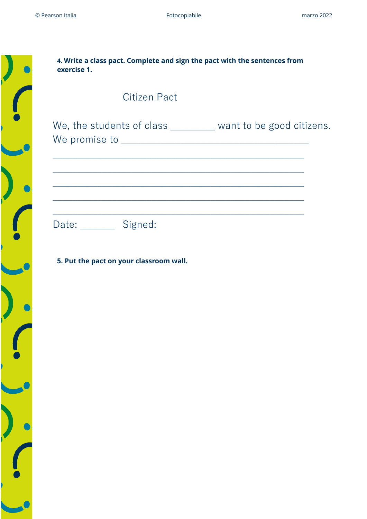

| 4. Write a class pact. Complete and sign the pact with the sentences from |  |
|---------------------------------------------------------------------------|--|
| exercise 1.                                                               |  |
|                                                                           |  |

## Citizen Pact

We, the students of class \_\_\_\_\_\_\_ want to be good citizens. We promise to \_\_\_\_\_\_\_\_\_\_\_\_\_\_\_\_\_\_\_\_\_\_\_\_\_\_\_\_\_\_\_\_\_\_\_\_\_\_

\_\_\_\_\_\_\_\_\_\_\_\_\_\_\_\_\_\_\_\_\_\_\_\_\_\_\_\_\_\_\_\_\_\_\_\_\_\_\_\_\_\_\_\_\_\_\_\_\_\_\_

\_\_\_\_\_\_\_\_\_\_\_\_\_\_\_\_\_\_\_\_\_\_\_\_\_\_\_\_\_\_\_\_\_\_\_\_\_\_\_\_\_\_\_\_\_\_\_\_\_\_\_

\_\_\_\_\_\_\_\_\_\_\_\_\_\_\_\_\_\_\_\_\_\_\_\_\_\_\_\_\_\_\_\_\_\_\_\_\_\_\_\_\_\_\_\_\_\_\_\_\_\_\_

\_\_\_\_\_\_\_\_\_\_\_\_\_\_\_\_\_\_\_\_\_\_\_\_\_\_\_\_\_\_\_\_\_\_\_\_\_\_\_\_\_\_\_\_\_\_\_\_\_\_\_

\_\_\_\_\_\_\_\_\_\_\_\_\_\_\_\_\_\_\_\_\_\_\_\_\_\_\_\_\_\_\_\_\_\_\_\_\_\_\_\_\_\_\_\_\_\_\_\_\_\_\_

Date: \_\_\_\_\_\_\_\_ Signed:

**5. Put the pact on your classroom wall.**